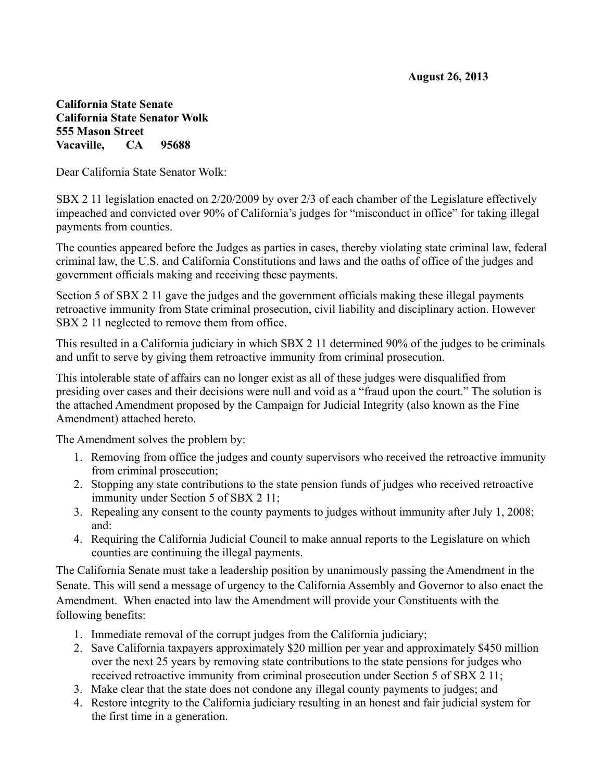## **California State Senate California State Senator Wolk 555 Mason Street Vacaville, CA 95688**

Dear California State Senator Wolk:

SBX 2 11 legislation enacted on 2/20/2009 by over 2/3 of each chamber of the Legislature effectively impeached and convicted over 90% of California's judges for "misconduct in office" for taking illegal payments from counties.

The counties appeared before the Judges as parties in cases, thereby violating state criminal law, federal criminal law, the U.S. and California Constitutions and laws and the oaths of office of the judges and government officials making and receiving these payments.

Section 5 of SBX 2 11 gave the judges and the government officials making these illegal payments retroactive immunity from State criminal prosecution, civil liability and disciplinary action. However SBX 2 11 neglected to remove them from office.

This resulted in a California judiciary in which SBX 2 11 determined 90% of the judges to be criminals and unfit to serve by giving them retroactive immunity from criminal prosecution.

This intolerable state of affairs can no longer exist as all of these judges were disqualified from presiding over cases and their decisions were null and void as a "fraud upon the court." The solution is the attached Amendment proposed by the Campaign for Judicial Integrity (also known as the Fine Amendment) attached hereto.

The Amendment solves the problem by:

- 1. Removing from office the judges and county supervisors who received the retroactive immunity from criminal prosecution;
- 2. Stopping any state contributions to the state pension funds of judges who received retroactive immunity under Section 5 of SBX 2 11;
- 3. Repealing any consent to the county payments to judges without immunity after July 1, 2008; and:
- 4. Requiring the California Judicial Council to make annual reports to the Legislature on which counties are continuing the illegal payments.

The California Senate must take a leadership position by unanimously passing the Amendment in the Senate. This will send a message of urgency to the California Assembly and Governor to also enact the Amendment. When enacted into law the Amendment will provide your Constituents with the following benefits:

- 1. Immediate removal of the corrupt judges from the California judiciary;
- 2. Save California taxpayers approximately \$20 million per year and approximately \$450 million over the next 25 years by removing state contributions to the state pensions for judges who received retroactive immunity from criminal prosecution under Section 5 of SBX 2 11;
- 3. Make clear that the state does not condone any illegal county payments to judges; and
- 4. Restore integrity to the California judiciary resulting in an honest and fair judicial system for the first time in a generation.